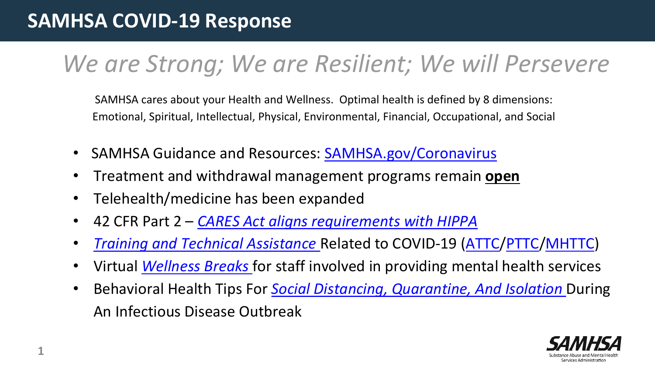#### **SAMHSA COVID-19 Response**

# *We are Strong; We are Resilient; We will Persevere*

SAMHSA cares about your Health and Wellness. Optimal health is defined by 8 dimensions: Emotional, Spiritual, Intellectual, Physical, Environmental, Financial, Occupational, and Social

- SAMHSA Guidance and Resources: [SAMHSA.gov/Coronavirus](https://www.samhsa.gov/coronavirus)
- Treatment and withdrawal management programs remain **open**
- Telehealth/medicine has been expanded
- 42 CFR Part 2 *[CARES Act aligns requirements with HIPPA](https://www.bakerdonelson.com/coronavirus-cares-act-takes-significant-step-toward-modernizing-part-2?utm_source=vuture&utm_medium=email&utm_campaign=20200330%20-%20alert%20-%20health&fbclid=IwAR1FxQJi4dQeRFzrKVb5oxqaBfFw-ywRk9sX44vk658PMpjUpOGJvp1xzac)*
- *[Training and Technical Assistance](https://www.samhsa.gov/sites/default/files/training-and-technical-assistance-covid19.pdf)* Related to COVID-19 ([ATTC/](https://attcnetwork.org/centers/new-england-attc/home)[PTTC/](https://pttcnetwork.org/centers/new-england-pttc/home)[MHTTC](https://mhttcnetwork.org/centers/new-england-mhttc/home))
- Virtual *[Wellness Breaks](https://mhttcnetwork.org/centers/new-england-mhttc/event/wellness-breaks)* for staff involved in providing mental health services
- Behavioral Health Tips For *[Social Distancing, Quarantine, And Isolation](https://www.samhsa.gov/sites/default/files/tips-social-distancing-quarantine-isolation-031620.pdf)* During An Infectious Disease Outbreak

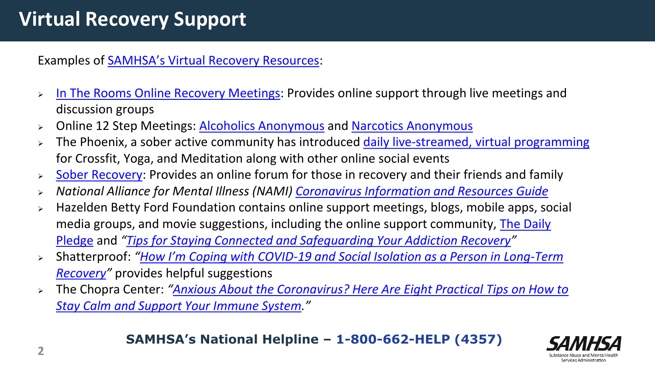### **Virtual Recovery Support**

Examples of [SAMHSA's Virtual Recovery Resources](https://www.samhsa.gov/sites/default/files/virtual-recovery-resources.pdf):

- > [In The Rooms Online Recovery Meetings:](https://www.intherooms.com/home/) Provides online support through live meetings and discussion groups
- > Online 12 Step Meetings: **Alcoholics Anonymous** and **Narcotics Anonymous**
- > The Phoenix, a sober active community has introduced [daily live-streamed, virtual programming](https://thephoenix.org/virtual/) for Crossfit, Yoga, and Meditation along with other online social events
- $\triangleright$  [Sober Recovery:](https://www.soberrecovery.com/forums/) Provides an online forum for those in recovery and their friends and family
- *National Alliance for Mental Illness (NAMI) [Coronavirus Information and Resources Guide](http://bit.ly/NAMIresource)*
- > Hazelden Betty Ford Foundation contains online support meetings, blogs, mobile apps, social [media groups, and movie suggestions, including the online support community, The Daily](https://www.hazeldenbettyford.org/recovery/tools/daily-pledge) Pledge and *"[Tips for Staying Connected and Safeguarding Your Addiction Recovery](http://bit.ly/HBF-Tips)"*
- Shatterproof: *"How I'm Coping with COVID[-19 and Social Isolation as a Person in Long-Term](http://bit.ly/shatterproof-coping)  Recovery"* provides helpful suggestions
- The Chopra Center: *"[Anxious About the Coronavirus? Here Are Eight Practical Tips on How to](http://bit.ly/Chopra-calm) Stay Calm and Support Your Immune System."*

**SAMHSA's National Helpline – 1-800-662-HELP (4357)**

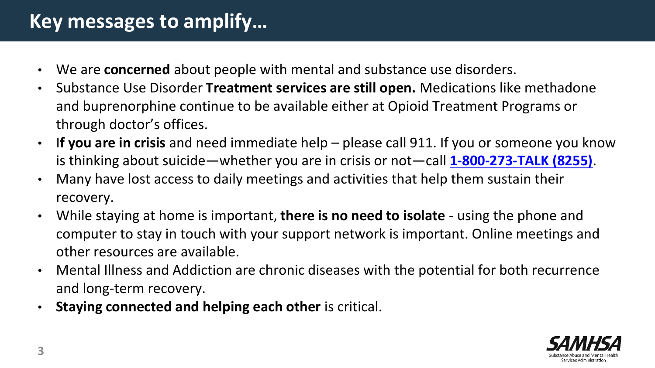#### **Key messages to amplify…**

- We are **concerned** about people with mental and substance use disorders.
- Substance Use Disorder **Treatment services are still open.** Medications like methadone and buprenorphine continue to be available either at Opioid Treatment Programs or through doctor's offices.
- I**f you are in crisis** and need immediate help please call 911. If you or someone you know is thinking about suicide—whether you are in crisis or not—call **[1-800-273-TALK \(8255\)](about:blank)**.
- Many have lost access to daily meetings and activities that help them sustain their recovery.
- While staying at home is important, **there is no need to isolate** using the phone and computer to stay in touch with your support network is important. Online meetings and other resources are available.
- Mental Illness and Addiction are chronic diseases with the potential for both recurrence and long-term recovery.
- **Staying connected and helping each other** is critical.